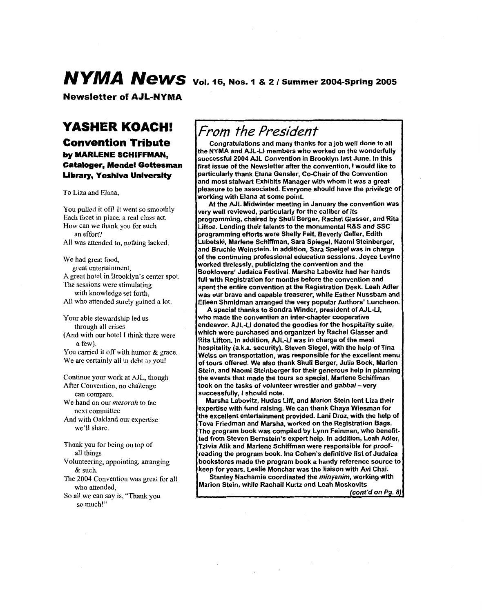# *NYMA News* vol. 16, Nos. 1 & 2 / Summer 2004-Spring 2005

**Newsletter** *of* **AJL-NYMA** 

## **YASHER KOACH!**

**Convention Tribute by MARLENE SCHIFFMAN, Cataloger, Mendel Gottesman Library, Yeshiva University** 

To Liza and Elana,

You pulled it off! It went so smoothly Each facet in place, a real class act. How can we thank you for such **All** was attended to, nothing lacked. an effort?

We had great food, **A** great hotel in Brooklyn's center spot. The sessions were stimulating with knowledge set forth, **All** who attended surely gained a lot. great entertainment,

Your able stewardship led us (And with our hotel **I** think there were through all crises a few).

You carried it off with humor & grace. We are certainly all in debt to you!

Continue your work at **AJL,** though After Convention, no challenge We hand on our *mesorah* to the And with Oakland our expertise can compare. next committee we'll share.

Thank you for being on top of all things

Volunteering, appointing, arranging & such.

The 2004 Convention was great for **all**  who attended,

So all we can say **is,** "Thank you so much!"

## *From the President*

Congratulations and many thanks for a job well done to all the NYMA and AJL-LI members who worked on the wonderfully successful 2004 AJL Convention in Brooklyn last June. In this first issue of the Newsletter after the convention, I would like to particularly thank Elana Gensler, Co-Chair of the Convention and most stalwart Exhibits Manager with whom it was a great pleasure to be associated. Everyone should have the privilege of working with Elana at some point.

At the AJL Midwinter meeting in January the convention was very well reviewed, particularly for the caliber of its programming, chaired by Shuli Berger, Rachel Glasser, and Rita Lifton. Lending their talents to the monumental R&S and SSC programming efforts were Shelly Feit, Beverly Geller, Edith -tibetski, Marlene Schiffman, Sara Spiegel, Naomi Steinberger, and Bruchie Weinstein. In addition, Sara Speigel was in charge of the continuing professional education sessions. Joyce Levine worked tirelessly, publicizing the convention and the 3ooklovers' Judaica Festival. Marsha Labovitz had her hands full with Registration for months before the convention and spent the entire convention at the Registration Desk. Leah Adler was our brave and capable treasurer, while Esther Nussbam and Eileen Shmidman arranged the very popular Authors' Luncheon

A special thanks to Sondra Winder, president of AJL-LI, who made the convention an inter-chapter cooperative endeavor. AJL-LI donated the goodies for the hospitality suite, which were purchased and organized by Rachel Glasser and Rita Lifton. In addition, AJL-LI was in charge of the meal hospitality (a.k.a. security). Steven Siegel, with the help of Tina Weiss on transportation, was responsible for the excellent menu of tours offered. We also thank Shuli Berger, Julia Bock, Marion Stein, and Naomi Steinberger for their generous help in planning the events that made the tours so special. Marlene Schiffman took on the tasks of volunteer wrestler and *gabbai* - very successfully, I should note.

Marsha Labovitz, Hudas Liff, and Marion Stein lent Liza their expertise with fund raising. We can thank Chaya Wiesman for the excellent entertainment provided. Lani Droz, with the help of Tova Friedman and Marsha, worked on the Registration Bags. The program book was compiled by Lynn Feinman, who benefitted from Steven Bernstein's expert help. In addition, Leah Adler, Tzivia Atik and Marlene Schiffman were responsible for proofreading the program book. Ina Cohen's definitive list of Judaica bookstores made the program book a handy reference source to keep for years. Leslie Monchar was the liaison with Avi Chai.

Stanley Nachamie coordinated the minyanim, working with Marion Stein, while Rachail Kurtz and Leah Moskovits

(cont'd on Pg. 8)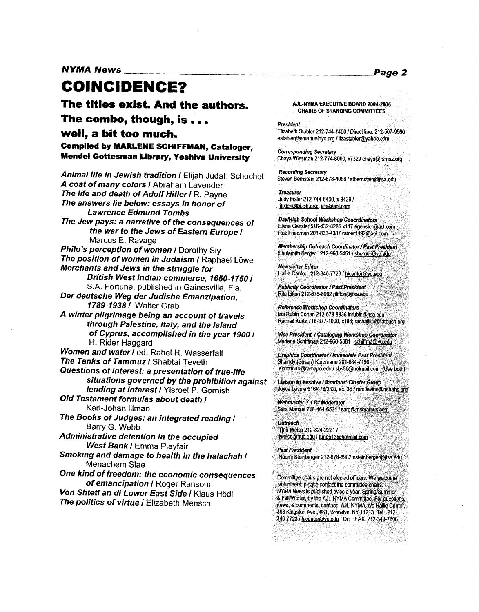*NYMA News Page* **2** 

## **COINCIDENCE?**

**The titles exist, And the authors,** 

#### **The combo, though, is**

#### **well, a bit too much.**

**Compiled by MARLENE SCHIFFMAN, Cataloger, Pendel Gottesman Library, Yeshiva University** 

*Animal life in Jewish tradition I* Elijah Judah Schochet *A coat of many colors I* Abraham Lavender *The life and death of Adolf Hitler I* R. Payne *The answers lie below: essays in honor of The Jew pays: a narrative of the consequences of*  **Philo's perception of women / Dorothy Sly The position of women in Judaism / Raphael Löwe** *Merchants and Jews in the struggle for British West Indian commerce, 1650-7750 I S.A.* Fortune, published in Gainesville, Fla. *Der deutsche Weg der Judishe Emanzipation, 7789-7938 I* Walter Grab *A winter pilgrimage being an account of travels through Palestine, ltaly, and the Island of Cyprus, accomplished in the year 7900 I*  H. Rider Haggard *Lawrence Edmund Tombs the war to the Jews of Eastern Europe I*  Marcus E. Ravage *Women and water1* ed. Rahel R. Wasserfall *The Tanks of Tammuz I* Shabtai Teveth *Questions of interest: a presentation of true-life situations governed by the prohibition against lending at interest I* Yisroel *P.* Gornish *Old Testament formulas about death I*  Karl-Johan lllman *The Books of Judges: an integrated reading I Barry G.* Webb *Administrative detention in the occupied West Bank I* Emma Playfair *Smoking and damage to health in the halachah I*  Menachem Slae *One kind of freedom: the economic consequences of emancipation I* Roger Ransom *Von Shtetl an di Lower East Side I* Klaus Hod1 *The politics of virtue I* Elizabeth Mensch.

#### **AIL-NYMA EXECUTIVE BOARD 2004-2005 CHAIRS OF STANDING COMMITTEES**

President Elizabeth Stabler 212-744-1400 *I* Direct line: 21 establer@emanuelnyc.org / lizastabler@yahoo.com

**Corresponding Secretary** Chaya Wiesman 212-774-8000, x7329 chaya@ramaz.org

Recording Secretary Steven Bernstein 212-678-4088 / stbernstein@jtsa.edu

**Treasurer**  $ifixler@lbi.cih.org;$   $ifix@aol.com$ Judy Fixler 212-744-6400, x 8429 /

**Day/High School Workshop Cooerdinators** Elana Gensler 516-432-8285 x117 egensler@aol.com **Roz** Friedman 201-833-4307 ramerl492&aol.com

Membership Outreach Coordinator/ Past President Shulamith Berger 212-960-5451 / sberger@yu.edu

Newsletter Editor Halie Cantor 212-340-7723 *I* hlcantor@w.edu

**Publicity Coordinator / Past President Rita Lifton 212-678-8092 rilifton@itsa.edu** 

Reference Workshop Coordinators Ina Rubin **Wen** 212-678-8836 inrubin@jtsa edu Rachail Kurtz 718-377-1000, x186; rachailku@flatbush.org

vice President *I* **Cataloging** Workshop Coordinator Marlene Schiffman 212-960-5381 schiffma@yu.edu

Graphics Coordinator / Immediate Past President<br>Shaindy (Susan) Kurzmann 201-684-7199 skurzman@ramapo.edu / sbk36@hotmail.com (Use both)

**Uaison** *to* Yeshiva *lbrarians' Cluster Gro*  Joyce Levine 516/478/242/, ex. 35 *I* mrs levine@nshahs.org

Webmaster / List Moderator Sara Marcus 718-464-6534 / sara@msmarcus.com

**Outreach** Tima Weiss 212-824-2221 I tweiss@huc.edu / tuna613@hotmail.com

Past President Naomi Steinberger 212-678-8982 nsteinberger@jtsa.edu

Committee **chairs** are not elected officers. We volunteers; please contact the committee cha **NYUA** *News* is published **Uce** a year, SpringlSummer & **FalWnter,** by the AJL-NYMA *conrmittee.* Fw~ucluestiqns, **news,** & mmenls, contact AJL-NYMA. *do* Halie Cantor, 383 Kingston Ave., #81, Brooklyn, NY 11213. Tel: 212-340-7723 I hlcantw@vu edu . *Or* FAX. 212-340-7808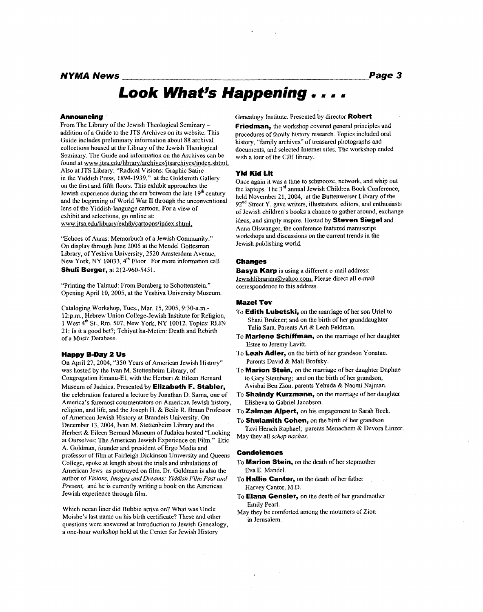#### *NYMA News Page* **3**

# Look What's Happening . . . .

#### **Announcing**

From The Library of the Jewish Theological Seminary addition of a Guide to the JTS Archives on its website. This Guide includes preliminary information about 88 archival collections housed at the Library of the Jewish Theological Seminary. The Guide and information on the Archives can be found at www.jtsa.edu/library/archives/jtsarchives/index.shtml. **Also** at JTS Library: "Radical Visions: Graphic Satire in the Yiddish Press, 1894-1939," at the Goldsmith Gallery on the first and fifth floors. This exhibit approaches the Jewish experience during the era between the late  $19<sup>th</sup>$  century and the beginning of World War I1 through the unconventional lens of the Yiddish-language cartoon. For a view of exhibit and selections, go online at: www.1 **tsa.edu/librarv/exhib/cartoons/index.shtml.** 

"Echoes of Auras: Memorbuch of a Jewish Community." On display through June 2005 at the Mendel Gottesman Library, of Yeshiva University, 2520 Amsterdam Avenue, New York, NY 10033, 4<sup>th</sup> Floor. For more information call **Shuli Berger, at 212-960-5451.** 

"Printing the Talmud: From Bomberg to Schottenstein." Opening April IO, 2005, at the Yeshiva University Museum

Cataloging Workshop, Tues., Mar. 15, 2005, 9:30-a.m.-12:p.m., Hebrew Union College-Jewish Institute for Religion, **<sup>1</sup>**West 4\* St., Rm. 507, New York, *NY* 10012. Topics: RLM 2 **1:** Is it a good bet?; Tehiyat ha-Metim: Death and Rebirth of a Music Database.

#### **Happy B-Day 2 Us**

On April 27,2004, "350 Years of American Jewish History" was hosted by the Ivan M. Stettenheim Library, of Congregation Emanu-El, with the Herbert & Eileen Bernard Museum of Judaica. Presented by **Elizabeth F. Stabler,**  the celebration featured a lecture by Jonathan D. Sarna, one of America's foremost commentators on American Jewish history, religion, and life, and the Joseph H. & Beile R. Braun Professor of American Jewish History at Brandeis University. On December 13,2004, Ivan M. Stettenheim Library and the Herbert & Eileen Bernard Museum of Judaica hosted "Looking at Ourselves: The American Jewish Experience on Film." Eric A. Goldman, founder and president of Ergo Media and professor of film at Fairleigh Dickinson University and Queens College, spoke at length about the trials and tribulations of American Jews as portrayed on film. Dr. Goldman **is** also the author of *Visions. Images and Dreams: Yiddish Film Past and Present,* and he **is** currently writing a book on the American Jewish experience through film.

Which ocean liner did Bubbie arrive on? What was Uncle Moishe's last name on **his** birth certificate? These and other questions were answered at Introduction to Jewish Genealogy, a one-hour workshop held at the Center for Jewish History

Genealogy Institute. Presented by director **Robert** 

**Friedman,** the workshop covered general principles and procedures of family history research. Topics included oral history, "family archives" of treasured photographs and documents, and selected Internet sites. The workshop ended with a tour of the CJH library.

#### **Yid Kid Lit**

Once again it was a time to schmooze, network, and whip out the laptops. The 3<sup>rd</sup> annual Jewish Children Book Conference, held November 21,2004, at the Buttenweiser Library of the  $92<sup>nd</sup>$  Street Y, gave writers, illustrators, editors, and enthusiasts of Jewish children's books a chance to gather around, exchange ideas, and simply inspire. Hosted by **Steven Siege1** and Anna Olswanger, the conference featured manuscript workshops and discussions on the current trends in the Jewish publishing world.

#### **Changes**

**Basya Karp is** using a different e-mail address: Jewishlibrarian@vahoo.com. Please direct all e-mail correspondence to this address.

#### *Maze:* **Tov**

- To **Edith Lubetski,** on the marriage of her son Uriel to Shani Brukner; and on the birth of her granddaughter Talia Sara. Parents Ari & Leah Feldman.
- To **Marlene Schiffman,** on the marriage of her daughter Estee to Jeremy Lavitt.
- To **Leah Adler,** on the birth of her grandson Yonatan. Parents David & Mali Brofsky.
- To **Marion Stein,** on the marriage of her daughter Daphne to Gary Steinberg; and on the birth of her grandson, Avishai Ben Zion. parents Yehuda & Naomi Najman.
- Elisheva to Gabriel Jacobson. To **Shaindy Kurzmann,** on the marriage of her daughter
- To **Zalman Alpert,** on his engagement to Sarah Beck.

To **Shulamith Cohen,** on the birth of her grandson May they all *schcp nachas.*  Tzvi Hersch Raphael; parents Menachem & Devora Linzer.

#### **Condolences**

- To **Marion Stein,** on the death of her stepmother Eva E. Mandel.
- To **Hallie Cantor,** on the death of her father Harvey Cantor, M.D.
- To **Elana Gensier**, on the death of her grandmother Emily Pearl.
- May they be comforted among the mourners of Zion in Jerusalem.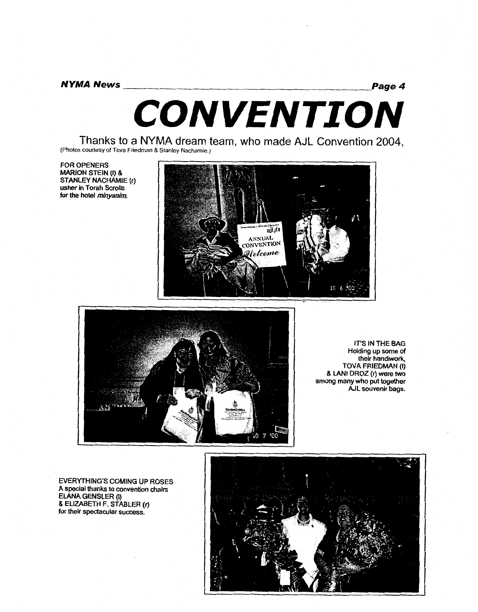*NYMA News Page 4 CONVENTION* -

**Thanks to a NYMA dream team, who made AJL Convention 2004, (Photos courtesy** of **Tova Friedman** & **Stanley Nachamie.)** 

**FOR OPENERS MARION STEIN (I) &** STANLEY NACHAMIE (r) usher in Torah Scrolls for the hotel minyanim.





IT'S IN THE BAG Holding up some of their handiwork, TOVA FRIEDMAN (I) & LANI DROZ (r) were two among many who put together AJL souvenir bags.

**EVERYTHING'S COMING UP ROSES A special thanks to convention chairs ElANA GENSLER (I)**  & **ELIZABETH F. STABLER (r) for their spectacular success.** 

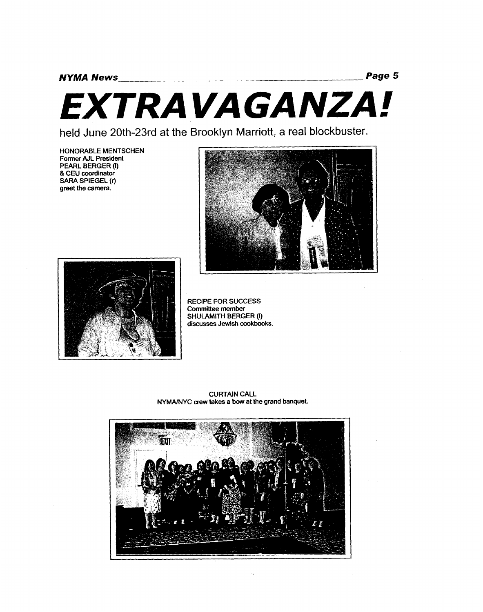# *EXTRAVAGANZA!*

held June 20th-23rd at the Brooklyn Marriott, a real blockbuster.

**HONORABLE MENTSCHEN Former AJL President PEARL BERGER (I)**  & **CEU coordinator SARA SPIEGEL (r) greet the camera.** 





**RECIPE FOR SUCCESS** Committee member **SHULAMITH BERGER (I)** discusses Jewish cookbooks.

**CURTAIN CALL NYMAMYC crew takes a bow at the grand banquet.** 

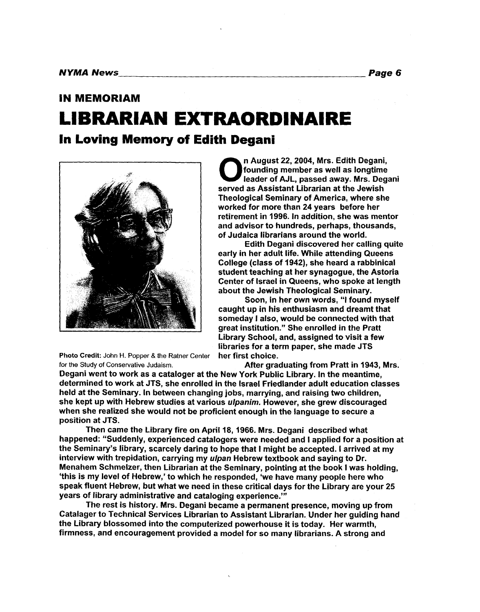## **IN MEMORIAM LIBRARIAN EXTRAORDINAIRE In Loving Memory of Edith Degani**



**Photo Credit: John** H. **Popper** & **the Ratner Center for the Study of Conservative Judaism.** 

**0 a**n August 22, 2004, Mrs. Edith Degani, founding member as well as longtime leader of AJL, passed away. Mrs. Deganised as Assistant Librarian at the Jewish founding member as well as longtime leader of AJL, passed away. Mrs. Degani Theological Seminary of America, where she worked for more than **24** years before her retirement in **1996.** In addition, she was mentor and advisor to hundreds, perhaps, thousands, of Judaica librarians around the world.

early in her adult life. While attending Queens College (class of **1942),** she heard a rabbinical student teaching at her synagogue, the Astoria Center of Israel in Queens, who spoke at length about the Jewish Theological Seminary. Edith Degani discovered her calling quite

Soon, in her own words, "I found myself caught up in his enthusiasm and dreamt that someday **I** also, would be connected with that great institution." She enrolled in the Pratt Library School, and, assigned to visit a few libraries for a term paper, she made JTS her first choice.

After graduating from Pratt in **1943,** Mrs.

Degani went to work as a cataloger at the New York Public Library. In the meantime, determined to work at JTS, she enrolled in the Israel Friedlander adult education classes held at the Seminary. In between changing jobs, marrying, and raising two children, she kept up with Hebrew studies at various *ulpanim.* However, she grew discouraged when she realized she would not be proficient enough in the language to secure a position at JTS.

Then came the Library fire on April **18,1966.** Mrs. Degani described what happened: "Suddenly, experienced catalogers were needed and I applied for a position at the Seminary's library, scarcely daring to hope that I might be accepted. I arrived at my interview with trepidation, carrying my *ulpan* Hebrew textbook and saying to Dr. Menahem Schmelzer, then Librarian at the Seminary, pointing at the book I was holding, 'this is my level of Hebrew,' to which he responded, 'we have many people here who speak fluent Hebrew, but what we need in these critical days for the Library are your 25 years of library administrative and cataloging experience."'

The rest is history. Mrs. Degani became a permanent presence, moving up from Catalager to Technical Services Librarian to Assistant Librarian. Under her guiding hand the Library blossomed into the computerized powerhouse it is today. Her warmth, firmness, and encouragement provided a model for so many librarians. A strong and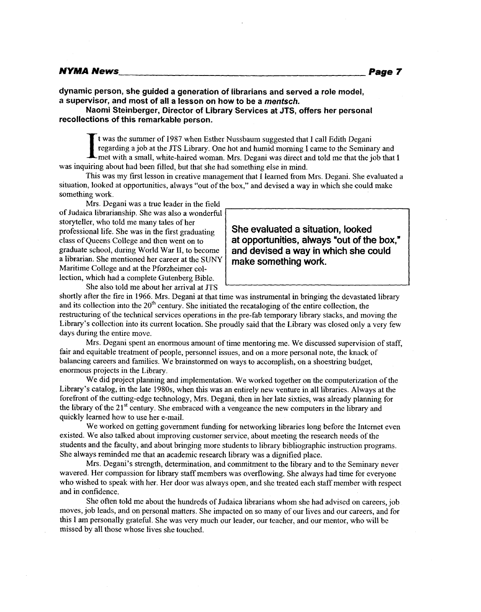dynamic person, she guided a generation of librarians and served a role model, a supervisor, and most of all a lesson on how to be a mentsch.

Naomi Steinberger, Director of Library Services at JTS, offers her personal recollections of this remarkable person.

t was the summer of 1987 when Esther Nussbaum suggested that I call Edith Degani regarding a job at the JTS Library. One hot and humid morning I came to the Seminary and -met with a small, white-haired woman. Mrs. Degani was direct and told me that the job that I was inquiring about had been filled, but that she had something else in mind.

This was my first lesson in creative management that I learned from Mrs. Degani. She evaluated a situation, looked at opportunities, always "out of the box," and devised a way in which she could make something work.

Mrs. Degani was a true leader in the field of Judaica librarianship. She was also a wonderful storyteller, who told me many tales of her professional life. She was in the first graduating class of Queens College and then went on to graduate school, during World War **11,** to become a librarian. She mentioned her career at the *SUNY*  Maritime College and at the Pforzheimer collection, which had a complete Gutenberg Bible.

**She evaluated a situation, looked at opportunities, always \*out of the box," and devised a way in which she could make something work.** 

shortly after the fire in 1966. Mrs. Degani at that time was instrumental in bringing the devastated library and its collection into the  $20<sup>th</sup>$  century. She initiated the recataloging of the entire collection, the restructuring of the technical services operations in the pre-fab temporary library stacks, and moving the Library's collection into its current location. She proudly said that the Library was closed only a very few days during the entire move.

Mrs. Degani spent an enormous amount of time mentoring me. We discussed supervision of staff, fair and equitable treatment of people, personnel issues, and on a more personal note, the knack of balancing careers and families. We brainstormed on ways to accomplish, on a shoestring budget, enormous projects in the Library.

We did project planning and implementation. We worked together on the computerization of the Library's catalog, in the late 1980s, when this was an entirely new venture in all libraries. Always at the forefront of the cutting-edge technology, Mrs. Degani, then in her late sixties, was already planning for the library of the 21<sup>st</sup> century. She embraced with a vengeance the new computers in the library and quickly learned how to use her e-mail.

We worked on getting government funding for networking libraries long before the Internet even existed. We also talked about improving customer service, about meeting the research needs of the students and the faculty, and about bringing more students to library bibliographic instruction programs. She always reminded me that an academic research library was a dignified place.

Mrs. Degani's strength, determination, and commitment to the library and to the Seminary never wavered. Her compassion for library staff members was overflowing. She always had time for everyone who wished to speak with her. Her door was always open, and she treated each staff member with respect and in confidence.

She often told me about the hundreds of Judaica librarians whom she had advised on careers, job moves, job leads, and on personal matters. She impacted on so many of our lives and our careers, and for this I am personally grateful. She was very much our leader, our teacher, and our mentor, who will be missed by all those whose lives she touched.